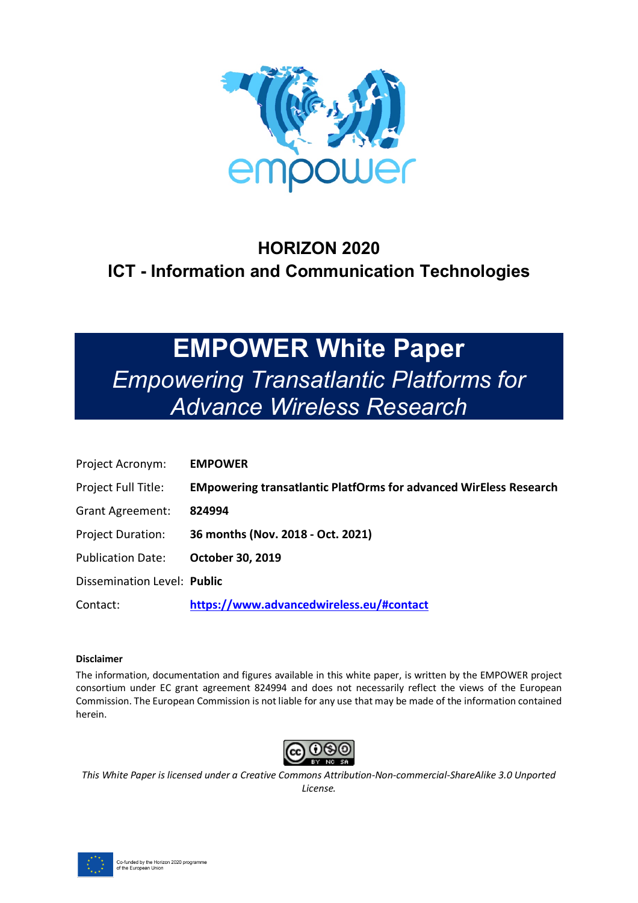

## **HORIZON 2020 ICT - Information and Communication Technologies**

# **EMPOWER White Paper**  *Empowering Transatlantic Platforms for Advance Wireless Research*

| Project Acronym:            | <b>EMPOWER</b>                                                           |
|-----------------------------|--------------------------------------------------------------------------|
| Project Full Title:         | <b>EMpowering transatlantic PlatfOrms for advanced WirEless Research</b> |
| <b>Grant Agreement:</b>     | 824994                                                                   |
| <b>Project Duration:</b>    | 36 months (Nov. 2018 - Oct. 2021)                                        |
| <b>Publication Date:</b>    | <b>October 30, 2019</b>                                                  |
| Dissemination Level: Public |                                                                          |
| Contact:                    | https://www.advancedwireless.eu/#contact                                 |

#### **Disclaimer**

The information, documentation and figures available in this white paper, is written by the EMPOWER project consortium under EC grant agreement 824994 and does not necessarily reflect the views of the European Commission. The European Commission is not liable for any use that may be made of the information contained herein.



*This White Paper is licensed under a Creative Commons Attribution-Non-commercial-ShareAlike 3.0 Unported License.*

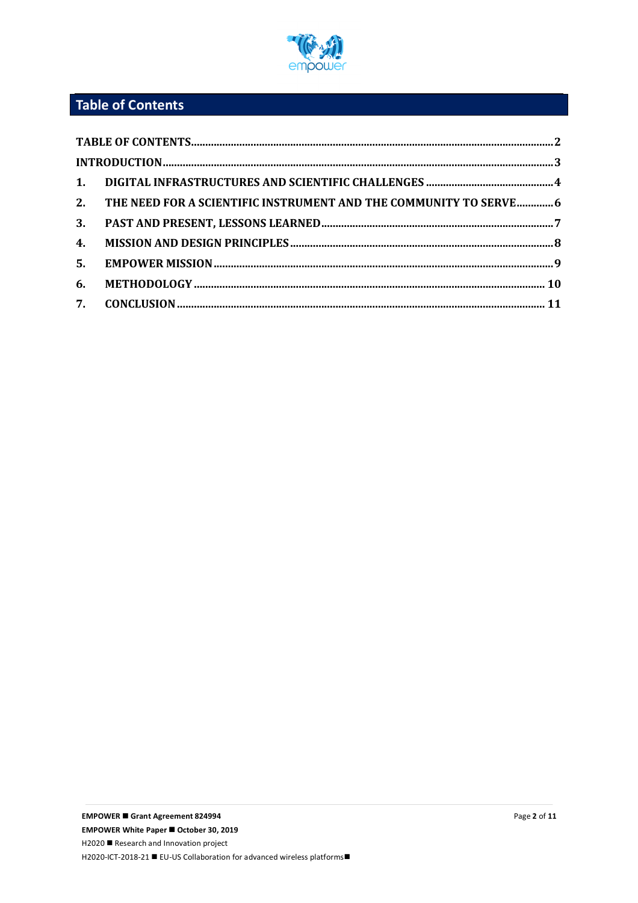

## **Table of Contents**

|    | 2. THE NEED FOR A SCIENTIFIC INSTRUMENT AND THE COMMUNITY TO SERVE6 |  |
|----|---------------------------------------------------------------------|--|
|    |                                                                     |  |
| 4. |                                                                     |  |
|    |                                                                     |  |
| 6. |                                                                     |  |
|    |                                                                     |  |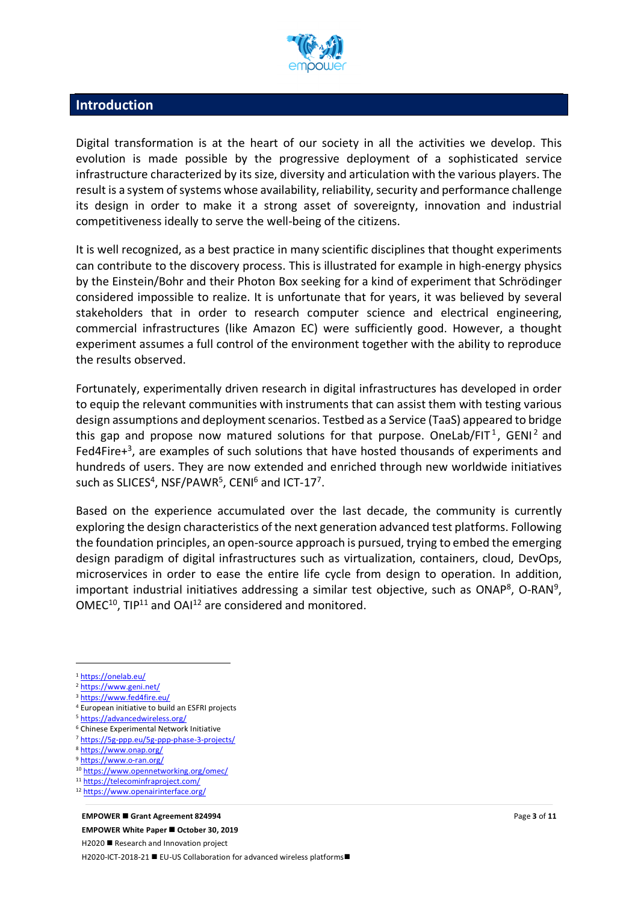

#### **Introduction**

Digital transformation is at the heart of our society in all the activities we develop. This evolution is made possible by the progressive deployment of a sophisticated service infrastructure characterized by its size, diversity and articulation with the various players. The result is a system of systems whose availability, reliability, security and performance challenge its design in order to make it a strong asset of sovereignty, innovation and industrial competitiveness ideally to serve the well-being of the citizens.

It is well recognized, as a best practice in many scientific disciplines that thought experiments can contribute to the discovery process. This is illustrated for example in high-energy physics by the Einstein/Bohr and their Photon Box seeking for a kind of experiment that Schrödinger considered impossible to realize. It is unfortunate that for years, it was believed by several stakeholders that in order to research computer science and electrical engineering, commercial infrastructures (like Amazon EC) were sufficiently good. However, a thought experiment assumes a full control of the environment together with the ability to reproduce the results observed.

Fortunately, experimentally driven research in digital infrastructures has developed in order to equip the relevant communities with instruments that can assist them with testing various design assumptions and deployment scenarios. Testbed as a Service (TaaS) appeared to bridge this gap and propose now matured solutions for that purpose. OneLab/FIT<sup>1</sup>, GENI<sup>2</sup> and Fed4Fire $+3$ , are examples of such solutions that have hosted thousands of experiments and hundreds of users. They are now extended and enriched through new worldwide initiatives such as SLICES<sup>4</sup>, NSF/PAWR<sup>5</sup>, CENI<sup>6</sup> and ICT-17<sup>7</sup>.

Based on the experience accumulated over the last decade, the community is currently exploring the design characteristics of the next generation advanced test platforms. Following the foundation principles, an open-source approach is pursued, trying to embed the emerging design paradigm of digital infrastructures such as virtualization, containers, cloud, DevOps, microservices in order to ease the entire life cycle from design to operation. In addition, important industrial initiatives addressing a similar test objective, such as ONAP<sup>8</sup>, O-RAN<sup>9</sup>,  $OMEC^{10}$ , TIP<sup>11</sup> and OAI<sup>12</sup> are considered and monitored.

<sup>1</sup> https://onelab.eu/

 $\overline{a}$ 

- <sup>2</sup> https://www.geni.net/
- <sup>3</sup> https://www.fed4fire.eu/
- <sup>4</sup> European initiative to build an ESFRI projects
- <sup>5</sup> https://advancedwireless.org/
- <sup>6</sup> Chinese Experimental Network Initiative
- <sup>7</sup> https://5g-ppp.eu/5g-ppp-phase-3-projects/
- <sup>8</sup> https://www.onap.org/ 9 https://www.o-ran.org/

<sup>10</sup> https://www.opennetworking.org/omec/

<sup>12</sup> https://www.openairinterface.org/

#### **EMPOWER ■ Grant Agreement 824994**

**EMPOWER White Paper ■ October 30, 2019** H2020 ■ Research and Innovation project H2020-ICT-2018-21 ■ EU-US Collaboration for advanced wireless platforms■

<sup>11</sup> https://telecominfraproject.com/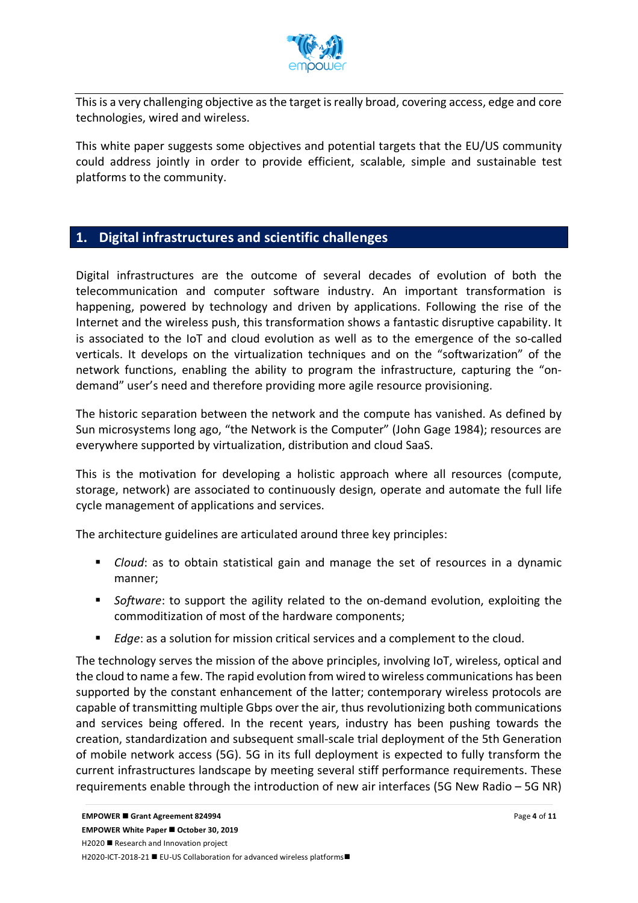

This is a very challenging objective as the target is really broad, covering access, edge and core technologies, wired and wireless.

This white paper suggests some objectives and potential targets that the EU/US community could address jointly in order to provide efficient, scalable, simple and sustainable test platforms to the community.

#### **1. Digital infrastructures and scientific challenges**

Digital infrastructures are the outcome of several decades of evolution of both the telecommunication and computer software industry. An important transformation is happening, powered by technology and driven by applications. Following the rise of the Internet and the wireless push, this transformation shows a fantastic disruptive capability. It is associated to the IoT and cloud evolution as well as to the emergence of the so-called verticals. It develops on the virtualization techniques and on the "softwarization" of the network functions, enabling the ability to program the infrastructure, capturing the "ondemand" user's need and therefore providing more agile resource provisioning.

The historic separation between the network and the compute has vanished. As defined by Sun microsystems long ago, "the Network is the Computer" (John Gage 1984); resources are everywhere supported by virtualization, distribution and cloud SaaS.

This is the motivation for developing a holistic approach where all resources (compute, storage, network) are associated to continuously design, operate and automate the full life cycle management of applications and services.

The architecture guidelines are articulated around three key principles:

- § *Cloud*: as to obtain statistical gain and manage the set of resources in a dynamic manner;
- *Software*: to support the agility related to the on-demand evolution, exploiting the commoditization of most of the hardware components;
- Edge: as a solution for mission critical services and a complement to the cloud.

The technology serves the mission of the above principles, involving IoT, wireless, optical and the cloud to name a few. The rapid evolution from wired to wireless communications has been supported by the constant enhancement of the latter; contemporary wireless protocols are capable of transmitting multiple Gbps over the air, thus revolutionizing both communications and services being offered. In the recent years, industry has been pushing towards the creation, standardization and subsequent small-scale trial deployment of the 5th Generation of mobile network access (5G). 5G in its full deployment is expected to fully transform the current infrastructures landscape by meeting several stiff performance requirements. These requirements enable through the introduction of new air interfaces (5G New Radio – 5G NR)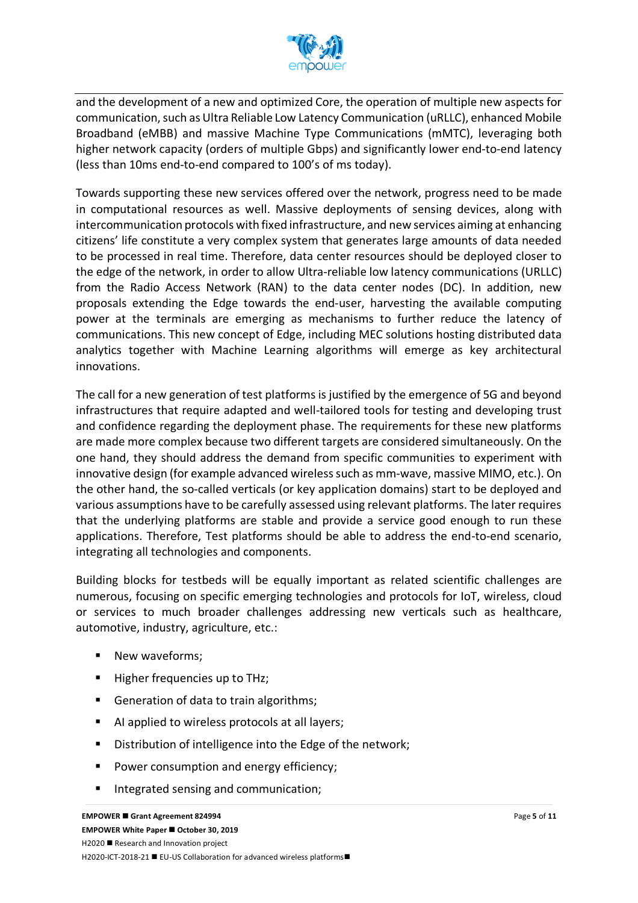

and the development of a new and optimized Core, the operation of multiple new aspects for communication, such as Ultra Reliable Low Latency Communication (uRLLC), enhanced Mobile Broadband (eMBB) and massive Machine Type Communications (mMTC), leveraging both higher network capacity (orders of multiple Gbps) and significantly lower end-to-end latency (less than 10ms end-to-end compared to 100's of ms today).

Towards supporting these new services offered over the network, progress need to be made in computational resources as well. Massive deployments of sensing devices, along with intercommunication protocols with fixed infrastructure, and new services aiming at enhancing citizens' life constitute a very complex system that generates large amounts of data needed to be processed in real time. Therefore, data center resources should be deployed closer to the edge of the network, in order to allow Ultra-reliable low latency communications (URLLC) from the Radio Access Network (RAN) to the data center nodes (DC). In addition, new proposals extending the Edge towards the end-user, harvesting the available computing power at the terminals are emerging as mechanisms to further reduce the latency of communications. This new concept of Edge, including MEC solutions hosting distributed data analytics together with Machine Learning algorithms will emerge as key architectural innovations.

The call for a new generation of test platforms is justified by the emergence of 5G and beyond infrastructures that require adapted and well-tailored tools for testing and developing trust and confidence regarding the deployment phase. The requirements for these new platforms are made more complex because two different targets are considered simultaneously. On the one hand, they should address the demand from specific communities to experiment with innovative design (for example advanced wireless such as mm-wave, massive MIMO, etc.). On the other hand, the so-called verticals (or key application domains) start to be deployed and various assumptions have to be carefully assessed using relevant platforms. The later requires that the underlying platforms are stable and provide a service good enough to run these applications. Therefore, Test platforms should be able to address the end-to-end scenario, integrating all technologies and components.

Building blocks for testbeds will be equally important as related scientific challenges are numerous, focusing on specific emerging technologies and protocols for IoT, wireless, cloud or services to much broader challenges addressing new verticals such as healthcare, automotive, industry, agriculture, etc.:

- New waveforms;
- Higher frequencies up to THz;
- Generation of data to train algorithms;
- AI applied to wireless protocols at all layers;
- Distribution of intelligence into the Edge of the network;
- Power consumption and energy efficiency;
- Integrated sensing and communication;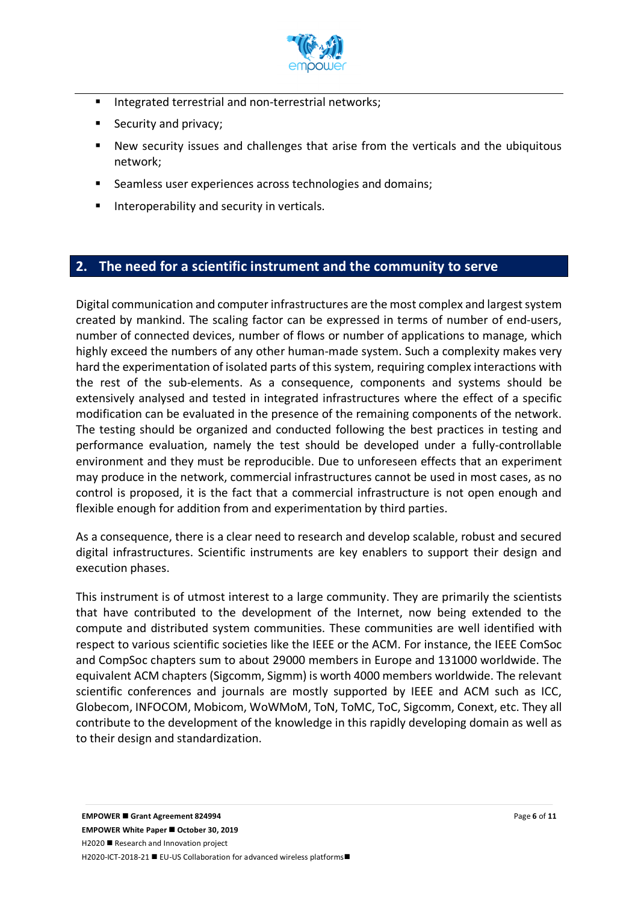

- Integrated terrestrial and non-terrestrial networks;
- Security and privacy;
- New security issues and challenges that arise from the verticals and the ubiquitous network;
- Seamless user experiences across technologies and domains;
- Interoperability and security in verticals.

#### **2. The need for a scientific instrument and the community to serve**

Digital communication and computer infrastructures are the most complex and largest system created by mankind. The scaling factor can be expressed in terms of number of end-users, number of connected devices, number of flows or number of applications to manage, which highly exceed the numbers of any other human-made system. Such a complexity makes very hard the experimentation of isolated parts of this system, requiring complex interactions with the rest of the sub-elements. As a consequence, components and systems should be extensively analysed and tested in integrated infrastructures where the effect of a specific modification can be evaluated in the presence of the remaining components of the network. The testing should be organized and conducted following the best practices in testing and performance evaluation, namely the test should be developed under a fully-controllable environment and they must be reproducible. Due to unforeseen effects that an experiment may produce in the network, commercial infrastructures cannot be used in most cases, as no control is proposed, it is the fact that a commercial infrastructure is not open enough and flexible enough for addition from and experimentation by third parties.

As a consequence, there is a clear need to research and develop scalable, robust and secured digital infrastructures. Scientific instruments are key enablers to support their design and execution phases.

This instrument is of utmost interest to a large community. They are primarily the scientists that have contributed to the development of the Internet, now being extended to the compute and distributed system communities. These communities are well identified with respect to various scientific societies like the IEEE or the ACM. For instance, the IEEE ComSoc and CompSoc chapters sum to about 29000 members in Europe and 131000 worldwide. The equivalent ACM chapters (Sigcomm, Sigmm) is worth 4000 members worldwide. The relevant scientific conferences and journals are mostly supported by IEEE and ACM such as ICC, Globecom, INFOCOM, Mobicom, WoWMoM, ToN, ToMC, ToC, Sigcomm, Conext, etc. They all contribute to the development of the knowledge in this rapidly developing domain as well as to their design and standardization.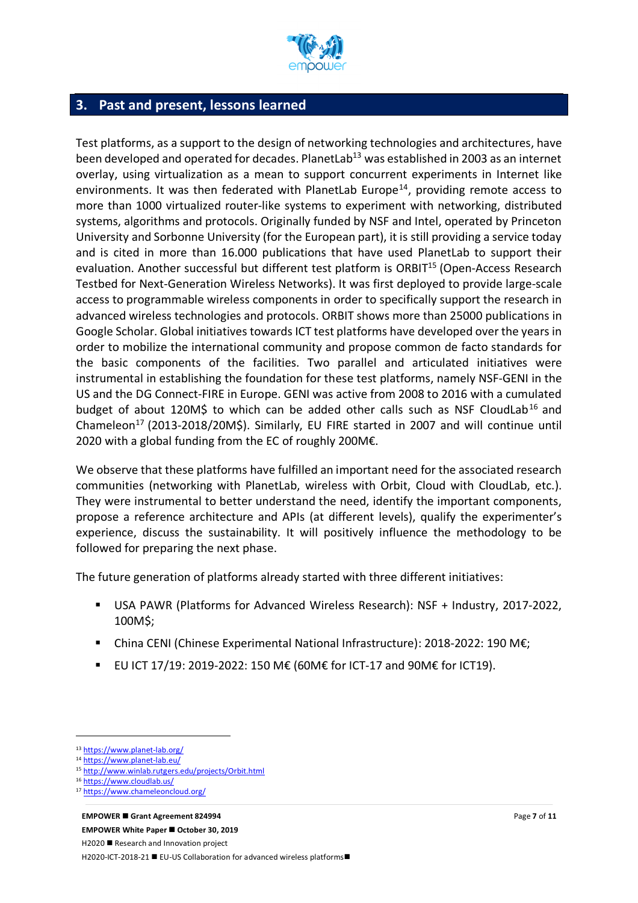

#### **3. Past and present, lessons learned**

Test platforms, as a support to the design of networking technologies and architectures, have been developed and operated for decades. PlanetLab<sup>13</sup> was established in 2003 as an internet overlay, using virtualization as a mean to support concurrent experiments in Internet like environments. It was then federated with PlanetLab Europe<sup>14</sup>, providing remote access to more than 1000 virtualized router-like systems to experiment with networking, distributed systems, algorithms and protocols. Originally funded by NSF and Intel, operated by Princeton University and Sorbonne University (for the European part), it is still providing a service today and is cited in more than 16.000 publications that have used PlanetLab to support their evaluation. Another successful but different test platform is ORBIT<sup>15</sup> (Open-Access Research Testbed for Next-Generation Wireless Networks). It was first deployed to provide large-scale access to programmable wireless components in order to specifically support the research in advanced wireless technologies and protocols. ORBIT shows more than 25000 publications in Google Scholar. Global initiatives towards ICT test platforms have developed over the years in order to mobilize the international community and propose common de facto standards for the basic components of the facilities. Two parallel and articulated initiatives were instrumental in establishing the foundation for these test platforms, namely NSF-GENI in the US and the DG Connect-FIRE in Europe. GENI was active from 2008 to 2016 with a cumulated budget of about 120M\$ to which can be added other calls such as NSF CloudLab<sup>16</sup> and Chameleon<sup>17</sup> (2013-2018/20M\$). Similarly, EU FIRE started in 2007 and will continue until 2020 with a global funding from the EC of roughly 200M€.

We observe that these platforms have fulfilled an important need for the associated research communities (networking with PlanetLab, wireless with Orbit, Cloud with CloudLab, etc.). They were instrumental to better understand the need, identify the important components, propose a reference architecture and APIs (at different levels), qualify the experimenter's experience, discuss the sustainability. It will positively influence the methodology to be followed for preparing the next phase.

The future generation of platforms already started with three different initiatives:

- USA PAWR (Platforms for Advanced Wireless Research): NSF + Industry, 2017-2022, 100M\$;
- § China CENI (Chinese Experimental National Infrastructure): 2018-2022: 190 M€;
- EU ICT 17/19: 2019-2022: 150 M€ (60M€ for ICT-17 and 90M€ for ICT19).

 $\overline{a}$ 

<sup>13</sup> https://www.planet-lab.org/

<sup>14</sup> https://www.planet-lab.eu/

<sup>15</sup> http://www.winlab.rutgers.edu/projects/Orbit.html

<sup>16</sup> https://www.cloudlab.us/

<sup>17</sup> https://www.chameleoncloud.org/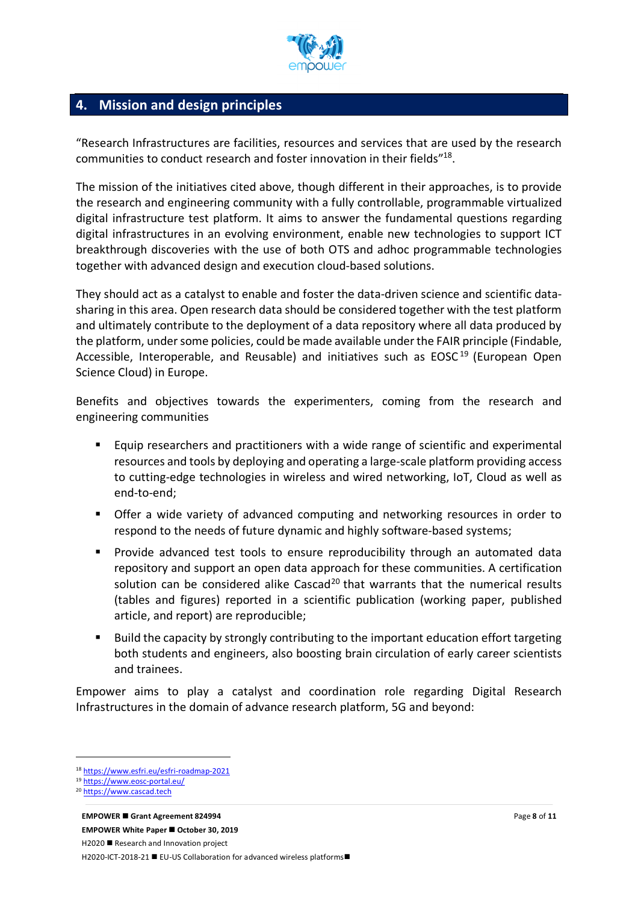

#### **4. Mission and design principles**

"Research Infrastructures are facilities, resources and services that are used by the research communities to conduct research and foster innovation in their fields"18.

The mission of the initiatives cited above, though different in their approaches, is to provide the research and engineering community with a fully controllable, programmable virtualized digital infrastructure test platform. It aims to answer the fundamental questions regarding digital infrastructures in an evolving environment, enable new technologies to support ICT breakthrough discoveries with the use of both OTS and adhoc programmable technologies together with advanced design and execution cloud-based solutions.

They should act as a catalyst to enable and foster the data-driven science and scientific datasharing in this area. Open research data should be considered together with the test platform and ultimately contribute to the deployment of a data repository where all data produced by the platform, under some policies, could be made available under the FAIR principle (Findable, Accessible, Interoperable, and Reusable) and initiatives such as  $EOSC<sup>19</sup>$  (European Open Science Cloud) in Europe.

Benefits and objectives towards the experimenters, coming from the research and engineering communities

- Equip researchers and practitioners with a wide range of scientific and experimental resources and tools by deploying and operating a large-scale platform providing access to cutting-edge technologies in wireless and wired networking, IoT, Cloud as well as end-to-end;
- Offer a wide variety of advanced computing and networking resources in order to respond to the needs of future dynamic and highly software-based systems;
- § Provide advanced test tools to ensure reproducibility through an automated data repository and support an open data approach for these communities. A certification solution can be considered alike Cascad<sup>20</sup> that warrants that the numerical results (tables and figures) reported in a scientific publication (working paper, published article, and report) are reproducible;
- Build the capacity by strongly contributing to the important education effort targeting both students and engineers, also boosting brain circulation of early career scientists and trainees.

Empower aims to play a catalyst and coordination role regarding Digital Research Infrastructures in the domain of advance research platform, 5G and beyond:

 $\overline{a}$ 

<sup>18</sup> https://www.esfri.eu/esfri-roadmap-2021

<sup>19</sup> https://www.eosc-portal.eu/<br>20 https://www.cascad.tech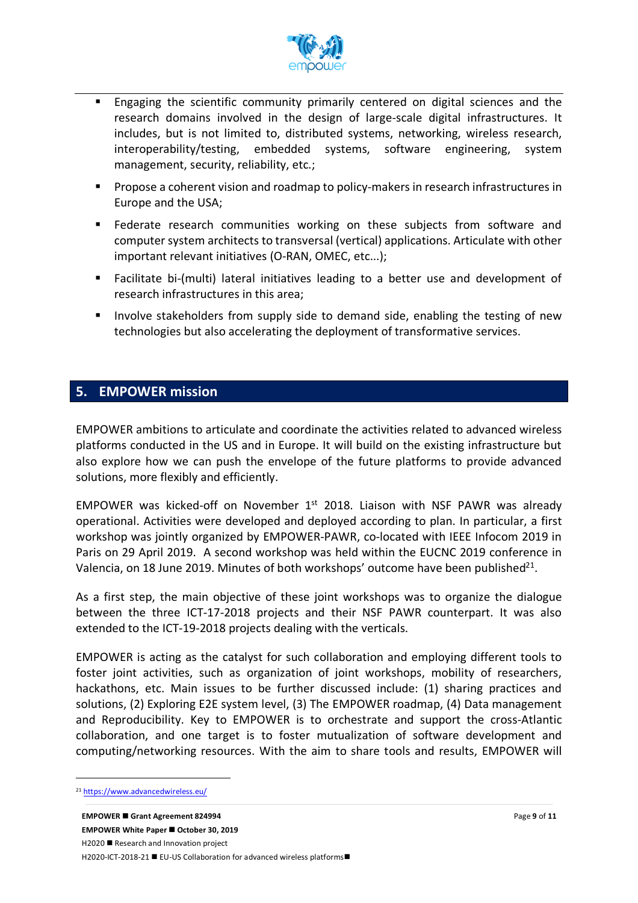

- Engaging the scientific community primarily centered on digital sciences and the research domains involved in the design of large-scale digital infrastructures. It includes, but is not limited to, distributed systems, networking, wireless research, interoperability/testing, embedded systems, software engineering, system management, security, reliability, etc.;
- Propose a coherent vision and roadmap to policy-makers in research infrastructures in Europe and the USA;
- Federate research communities working on these subjects from software and computer system architects to transversal (vertical) applications. Articulate with other important relevant initiatives (O-RAN, OMEC, etc...);
- § Facilitate bi-(multi) lateral initiatives leading to a better use and development of research infrastructures in this area;
- **■** Involve stakeholders from supply side to demand side, enabling the testing of new technologies but also accelerating the deployment of transformative services.

#### **5. EMPOWER mission**

EMPOWER ambitions to articulate and coordinate the activities related to advanced wireless platforms conducted in the US and in Europe. It will build on the existing infrastructure but also explore how we can push the envelope of the future platforms to provide advanced solutions, more flexibly and efficiently.

EMPOWER was kicked-off on November  $1<sup>st</sup>$  2018. Liaison with NSF PAWR was already operational. Activities were developed and deployed according to plan. In particular, a first workshop was jointly organized by EMPOWER-PAWR, co-located with IEEE Infocom 2019 in Paris on 29 April 2019. A second workshop was held within the EUCNC 2019 conference in Valencia, on 18 June 2019. Minutes of both workshops' outcome have been published $^{21}$ .

As a first step, the main objective of these joint workshops was to organize the dialogue between the three ICT-17-2018 projects and their NSF PAWR counterpart. It was also extended to the ICT-19-2018 projects dealing with the verticals.

EMPOWER is acting as the catalyst for such collaboration and employing different tools to foster joint activities, such as organization of joint workshops, mobility of researchers, hackathons, etc. Main issues to be further discussed include: (1) sharing practices and solutions, (2) Exploring E2E system level, (3) The EMPOWER roadmap, (4) Data management and Reproducibility. Key to EMPOWER is to orchestrate and support the cross-Atlantic collaboration, and one target is to foster mutualization of software development and computing/networking resources. With the aim to share tools and results, EMPOWER will

 $\overline{a}$ 

<sup>21</sup> https://www.advancedwireless.eu/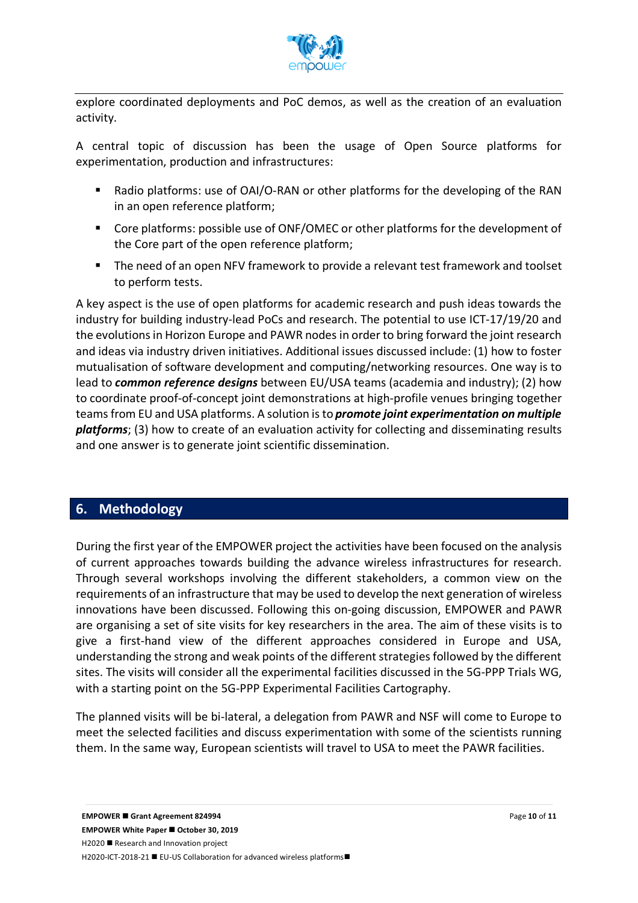

explore coordinated deployments and PoC demos, as well as the creation of an evaluation activity.

A central topic of discussion has been the usage of Open Source platforms for experimentation, production and infrastructures:

- Radio platforms: use of OAI/O-RAN or other platforms for the developing of the RAN in an open reference platform;
- Core platforms: possible use of ONF/OMEC or other platforms for the development of the Core part of the open reference platform;
- The need of an open NFV framework to provide a relevant test framework and toolset to perform tests.

A key aspect is the use of open platforms for academic research and push ideas towards the industry for building industry-lead PoCs and research. The potential to use ICT-17/19/20 and the evolutions in Horizon Europe and PAWR nodes in order to bring forward the joint research and ideas via industry driven initiatives. Additional issues discussed include: (1) how to foster mutualisation of software development and computing/networking resources. One way is to lead to *common reference designs* between EU/USA teams (academia and industry); (2) how to coordinate proof-of-concept joint demonstrations at high-profile venues bringing together teams from EU and USA platforms. A solution is to *promote joint experimentation on multiple platforms*; (3) how to create of an evaluation activity for collecting and disseminating results and one answer is to generate joint scientific dissemination.

### **6. Methodology**

During the first year of the EMPOWER project the activities have been focused on the analysis of current approaches towards building the advance wireless infrastructures for research. Through several workshops involving the different stakeholders, a common view on the requirements of an infrastructure that may be used to develop the next generation of wireless innovations have been discussed. Following this on-going discussion, EMPOWER and PAWR are organising a set of site visits for key researchers in the area. The aim of these visits is to give a first-hand view of the different approaches considered in Europe and USA, understanding the strong and weak points of the different strategies followed by the different sites. The visits will consider all the experimental facilities discussed in the 5G-PPP Trials WG, with a starting point on the 5G-PPP Experimental Facilities Cartography.

The planned visits will be bi-lateral, a delegation from PAWR and NSF will come to Europe to meet the selected facilities and discuss experimentation with some of the scientists running them. In the same way, European scientists will travel to USA to meet the PAWR facilities.